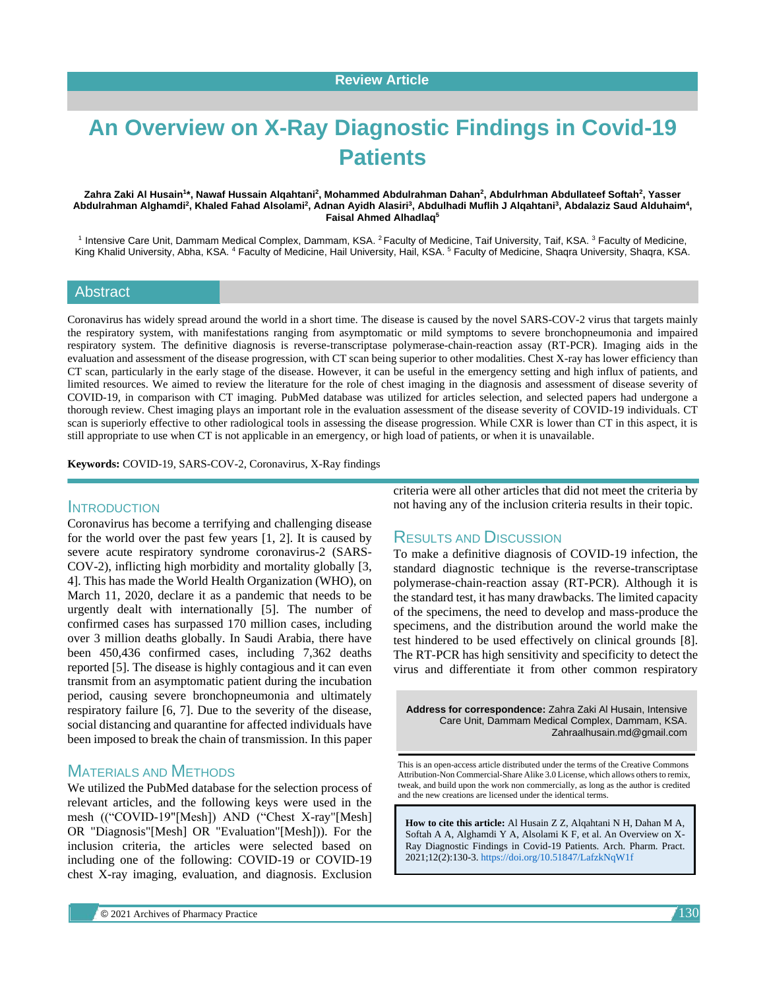# **An Overview on X-Ray Diagnostic Findings in Covid-19 Patients**

#### Zahra Zaki Al Husain<sup>1</sup>\*, Nawaf Hussain Alqahtani<sup>2</sup>, Mohammed Abdulrahman Dahan<sup>2</sup>, Abdulrhman Abdullateef Softah<sup>2</sup>, Yasser Abdulrahman Alghamdi<sup>2</sup>, Khaled Fahad Alsolami<sup>2</sup>, Adnan Ayidh Alasiri<sup>3</sup>, Abdulhadi Muflih J Alqahtani<sup>3</sup>, Abdalaziz Saud Alduhaim<sup>4</sup>, **Faisal Ahmed Alhadlaq<sup>5</sup>**

<sup>1</sup> Intensive Care Unit, Dammam Medical Complex, Dammam, KSA. <sup>2</sup> Faculty of Medicine, Taif University, Taif, KSA. <sup>3</sup> Faculty of Medicine, King Khalid University, Abha, KSA. <sup>4</sup> Faculty of Medicine, Hail University, Hail, KSA. <sup>5</sup> Faculty of Medicine, Shaqra University, Shaqra, KSA.

#### Abstract

Coronavirus has widely spread around the world in a short time. The disease is caused by the novel SARS-COV-2 virus that targets mainly the respiratory system, with manifestations ranging from asymptomatic or mild symptoms to severe bronchopneumonia and impaired respiratory system. The definitive diagnosis is reverse-transcriptase polymerase-chain-reaction assay (RT-PCR). Imaging aids in the evaluation and assessment of the disease progression, with CT scan being superior to other modalities. Chest X-ray has lower efficiency than CT scan, particularly in the early stage of the disease. However, it can be useful in the emergency setting and high influx of patients, and limited resources. We aimed to review the literature for the role of chest imaging in the diagnosis and assessment of disease severity of COVID-19, in comparison with CT imaging. PubMed database was utilized for articles selection, and selected papers had undergone a thorough review. Chest imaging plays an important role in the evaluation assessment of the disease severity of COVID-19 individuals. CT scan is superiorly effective to other radiological tools in assessing the disease progression. While CXR is lower than CT in this aspect, it is still appropriate to use when CT is not applicable in an emergency, or high load of patients, or when it is unavailable.

**Keywords:** COVID-19, SARS-COV-2, Coronavirus, X-Ray findings

## **INTRODUCTION**

Coronavirus has become a terrifying and challenging disease for the world over the past few years [1, 2]. It is caused by severe acute respiratory syndrome coronavirus-2 (SARS-COV-2), inflicting high morbidity and mortality globally [3, 4]. This has made the World Health Organization (WHO), on March 11, 2020, declare it as a pandemic that needs to be urgently dealt with internationally [5]. The number of confirmed cases has surpassed 170 million cases, including over 3 million deaths globally. In Saudi Arabia, there have been 450,436 confirmed cases, including 7,362 deaths reported [5]. The disease is highly contagious and it can even transmit from an asymptomatic patient during the incubation period, causing severe bronchopneumonia and ultimately respiratory failure [6, 7]. Due to the severity of the disease, social distancing and quarantine for affected individuals have been imposed to break the chain of transmission. In this paper

# MATERIALS AND METHODS

We utilized the PubMed database for the selection process of relevant articles, and the following keys were used in the mesh (("COVID-19"[Mesh]) AND ("Chest X-ray"[Mesh] OR "Diagnosis"[Mesh] OR "Evaluation"[Mesh])). For the inclusion criteria, the articles were selected based on including one of the following: COVID-19 or COVID-19 chest X-ray imaging, evaluation, and diagnosis. Exclusion

criteria were all other articles that did not meet the criteria by not having any of the inclusion criteria results in their topic.

# RESULTS AND DISCUSSION

To make a definitive diagnosis of COVID-19 infection, the standard diagnostic technique is the reverse-transcriptase polymerase-chain-reaction assay (RT-PCR). Although it is the standard test, it has many drawbacks. The limited capacity of the specimens, the need to develop and mass-produce the specimens, and the distribution around the world make the test hindered to be used effectively on clinical grounds [8]. The RT-PCR has high sensitivity and specificity to detect the virus and differentiate it from other common respiratory

**Address for correspondence:** Zahra Zaki Al Husain, Intensive Care Unit, Dammam Medical Complex, Dammam, KSA. Zahraalhusain.md@gmail.com

This is an open-access article distributed under the terms of the Creative Commons Attribution-Non Commercial-Share Alike 3.0 License, which allows others to remix, tweak, and build upon the work non commercially, as long as the author is credited and the new creations are licensed under the identical terms.

**How to cite this article:** Al Husain Z Z, Alqahtani N H, Dahan M A, Softah A A, Alghamdi Y A, Alsolami K F, et al. An Overview on X-Ray Diagnostic Findings in Covid-19 Patients. Arch. Pharm. Pract. 2021;12(2):130-3. <https://doi.org/10.51847/LafzkNqW1f>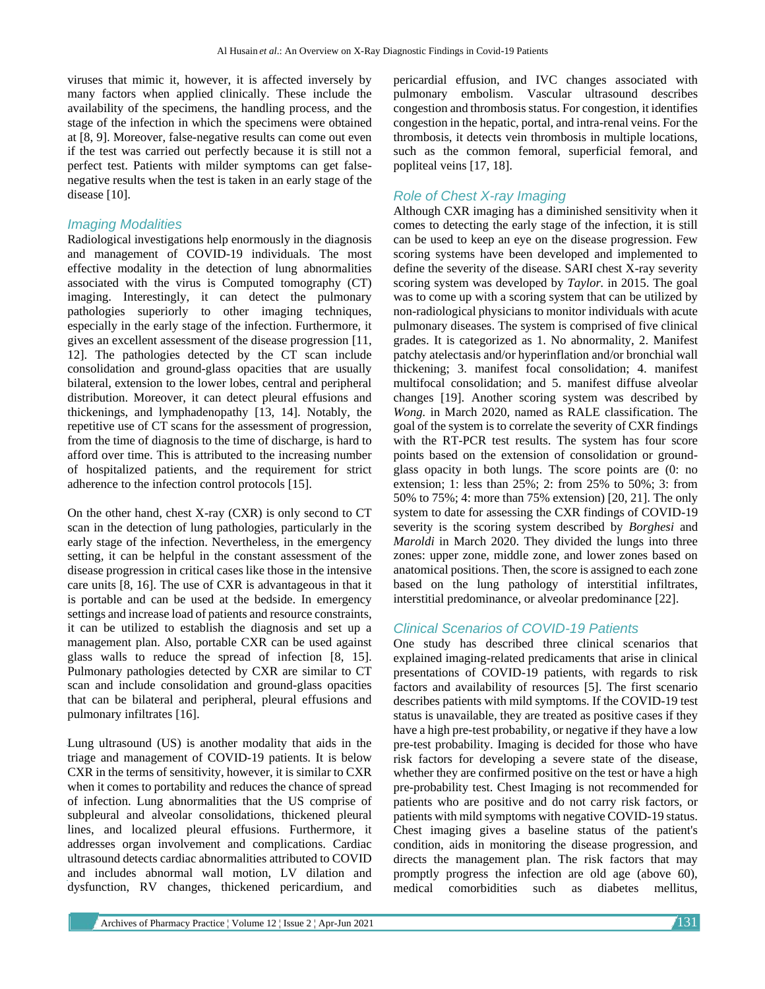viruses that mimic it, however, it is affected inversely by many factors when applied clinically. These include the availability of the specimens, the handling process, and the stage of the infection in which the specimens were obtained at [8, 9]. Moreover, false-negative results can come out even if the test was carried out perfectly because it is still not a perfect test. Patients with milder symptoms can get falsenegative results when the test is taken in an early stage of the disease [10].

#### *Imaging Modalities*

Radiological investigations help enormously in the diagnosis and management of COVID-19 individuals. The most effective modality in the detection of lung abnormalities associated with the virus is Computed tomography (CT) imaging. Interestingly, it can detect the pulmonary pathologies superiorly to other imaging techniques, especially in the early stage of the infection. Furthermore, it gives an excellent assessment of the disease progression [11, 12]. The pathologies detected by the CT scan include consolidation and ground-glass opacities that are usually bilateral, extension to the lower lobes, central and peripheral distribution. Moreover, it can detect pleural effusions and thickenings, and lymphadenopathy [13, 14]. Notably, the repetitive use of CT scans for the assessment of progression, from the time of diagnosis to the time of discharge, is hard to afford over time. This is attributed to the increasing number of hospitalized patients, and the requirement for strict adherence to the infection control protocols [15].

On the other hand, chest X-ray (CXR) is only second to CT scan in the detection of lung pathologies, particularly in the early stage of the infection. Nevertheless, in the emergency setting, it can be helpful in the constant assessment of the disease progression in critical cases like those in the intensive care units [8, 16]. The use of CXR is advantageous in that it is portable and can be used at the bedside. In emergency settings and increase load of patients and resource constraints, it can be utilized to establish the diagnosis and set up a management plan. Also, portable CXR can be used against glass walls to reduce the spread of infection [8, 15]. Pulmonary pathologies detected by CXR are similar to CT scan and include consolidation and ground-glass opacities that can be bilateral and peripheral, pleural effusions and pulmonary infiltrates [16].

Lung ultrasound (US) is another modality that aids in the triage and management of COVID-19 patients. It is below CXR in the terms of sensitivity, however, it is similar to CXR when it comes to portability and reduces the chance of spread of infection. Lung abnormalities that the US comprise of subpleural and alveolar consolidations, thickened pleural lines, and localized pleural effusions. Furthermore, it addresses organ involvement and complications. Cardiac ultrasound detects cardiac abnormalities attributed to COVID and includes abnormal wall motion, LV dilation and dysfunction, RV changes, thickened pericardium, and pericardial effusion, and IVC changes associated with pulmonary embolism. Vascular ultrasound describes congestion and thrombosis status. For congestion, it identifies congestion in the hepatic, portal, and intra-renal veins. For the thrombosis, it detects vein thrombosis in multiple locations, such as the common femoral, superficial femoral, and popliteal veins [17, 18].

# *Role of Chest X-ray Imaging*

Although CXR imaging has a diminished sensitivity when it comes to detecting the early stage of the infection, it is still can be used to keep an eye on the disease progression. Few scoring systems have been developed and implemented to define the severity of the disease. SARI chest X-ray severity scoring system was developed by *Taylor.* in 2015. The goal was to come up with a scoring system that can be utilized by non-radiological physicians to monitor individuals with acute pulmonary diseases. The system is comprised of five clinical grades. It is categorized as 1. No abnormality, 2. Manifest patchy atelectasis and/or hyperinflation and/or bronchial wall thickening; 3. manifest focal consolidation; 4. manifest multifocal consolidation; and 5. manifest diffuse alveolar changes [19]. Another scoring system was described by *Wong.* in March 2020, named as RALE classification. The goal of the system is to correlate the severity of CXR findings with the RT-PCR test results. The system has four score points based on the extension of consolidation or groundglass opacity in both lungs. The score points are (0: no extension; 1: less than 25%; 2: from 25% to 50%; 3: from 50% to 75%; 4: more than 75% extension) [20, 21]. The only system to date for assessing the CXR findings of COVID-19 severity is the scoring system described by *Borghesi* and *Maroldi* in March 2020. They divided the lungs into three zones: upper zone, middle zone, and lower zones based on anatomical positions. Then, the score is assigned to each zone based on the lung pathology of interstitial infiltrates, interstitial predominance, or alveolar predominance [22].

### *Clinical Scenarios of COVID-19 Patients*

One study has described three clinical scenarios that explained imaging-related predicaments that arise in clinical presentations of COVID-19 patients, with regards to risk factors and availability of resources [5]. The first scenario describes patients with mild symptoms. If the COVID-19 test status is unavailable, they are treated as positive cases if they have a high pre-test probability, or negative if they have a low pre-test probability. Imaging is decided for those who have risk factors for developing a severe state of the disease, whether they are confirmed positive on the test or have a high pre-probability test. Chest Imaging is not recommended for patients who are positive and do not carry risk factors, or patients with mild symptoms with negative COVID-19 status. Chest imaging gives a baseline status of the patient's condition, aids in monitoring the disease progression, and directs the management plan. The risk factors that may promptly progress the infection are old age (above 60), medical comorbidities such as diabetes mellitus,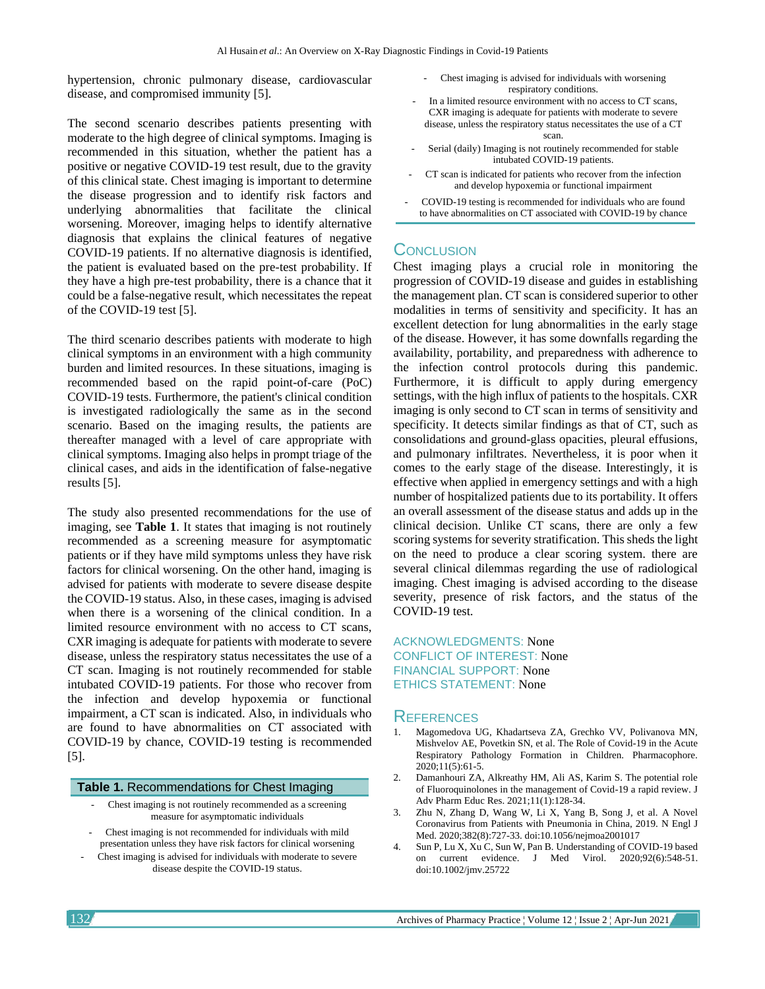hypertension, chronic pulmonary disease, cardiovascular disease, and compromised immunity [5].

The second scenario describes patients presenting with moderate to the high degree of clinical symptoms. Imaging is recommended in this situation, whether the patient has a positive or negative COVID-19 test result, due to the gravity of this clinical state. Chest imaging is important to determine the disease progression and to identify risk factors and underlying abnormalities that facilitate the clinical worsening. Moreover, imaging helps to identify alternative diagnosis that explains the clinical features of negative COVID-19 patients. If no alternative diagnosis is identified, the patient is evaluated based on the pre-test probability. If they have a high pre-test probability, there is a chance that it could be a false-negative result, which necessitates the repeat of the COVID-19 test [5].

The third scenario describes patients with moderate to high clinical symptoms in an environment with a high community burden and limited resources. In these situations, imaging is recommended based on the rapid point-of-care (PoC) COVID-19 tests. Furthermore, the patient's clinical condition is investigated radiologically the same as in the second scenario. Based on the imaging results, the patients are thereafter managed with a level of care appropriate with clinical symptoms. Imaging also helps in prompt triage of the clinical cases, and aids in the identification of false-negative results [5].

The study also presented recommendations for the use of imaging, see **Table 1**. It states that imaging is not routinely recommended as a screening measure for asymptomatic patients or if they have mild symptoms unless they have risk factors for clinical worsening. On the other hand, imaging is advised for patients with moderate to severe disease despite the COVID-19 status. Also, in these cases, imaging is advised when there is a worsening of the clinical condition. In a limited resource environment with no access to CT scans, CXR imaging is adequate for patients with moderate to severe disease, unless the respiratory status necessitates the use of a CT scan. Imaging is not routinely recommended for stable intubated COVID-19 patients. For those who recover from the infection and develop hypoxemia or functional impairment, a CT scan is indicated. Also, in individuals who are found to have abnormalities on CT associated with COVID-19 by chance, COVID-19 testing is recommended [5].

#### **Table 1.** Recommendations for Chest Imaging

- Chest imaging is not routinely recommended as a screening measure for asymptomatic individuals
- Chest imaging is not recommended for individuals with mild presentation unless they have risk factors for clinical worsening
- Chest imaging is advised for individuals with moderate to severe disease despite the COVID-19 status.
- Chest imaging is advised for individuals with worsening respiratory conditions.
- In a limited resource environment with no access to CT scans, CXR imaging is adequate for patients with moderate to severe disease, unless the respiratory status necessitates the use of a CT scan.
- Serial (daily) Imaging is not routinely recommended for stable intubated COVID-19 patients.
- CT scan is indicated for patients who recover from the infection and develop hypoxemia or functional impairment
- COVID-19 testing is recommended for individuals who are found to have abnormalities on CT associated with COVID-19 by chance

# **CONCLUSION**

Chest imaging plays a crucial role in monitoring the progression of COVID-19 disease and guides in establishing the management plan. CT scan is considered superior to other modalities in terms of sensitivity and specificity. It has an excellent detection for lung abnormalities in the early stage of the disease. However, it has some downfalls regarding the availability, portability, and preparedness with adherence to the infection control protocols during this pandemic. Furthermore, it is difficult to apply during emergency settings, with the high influx of patients to the hospitals. CXR imaging is only second to CT scan in terms of sensitivity and specificity. It detects similar findings as that of CT, such as consolidations and ground-glass opacities, pleural effusions, and pulmonary infiltrates. Nevertheless, it is poor when it comes to the early stage of the disease. Interestingly, it is effective when applied in emergency settings and with a high number of hospitalized patients due to its portability. It offers an overall assessment of the disease status and adds up in the clinical decision. Unlike CT scans, there are only a few scoring systems for severity stratification. This sheds the light on the need to produce a clear scoring system. there are several clinical dilemmas regarding the use of radiological imaging. Chest imaging is advised according to the disease severity, presence of risk factors, and the status of the COVID-19 test.

ACKNOWLEDGMENTS: None CONFLICT OF INTEREST: None FINANCIAL SUPPORT: None ETHICS STATEMENT: None

# **REFERENCES**

- 1. Magomedova UG, Khadartseva ZA, Grechko VV, Polivanova MN, Mishvelov AE, Povetkin SN, et al. The Role of Covid-19 in the Acute Respiratory Pathology Formation in Children. Pharmacophore. 2020;11(5):61-5.
- 2. Damanhouri ZA, Alkreathy HM, Ali AS, Karim S. The potential role of Fluoroquinolones in the management of Covid-19 a rapid review. J Adv Pharm Educ Res. 2021;11(1):128-34.
- 3. Zhu N, Zhang D, Wang W, Li X, Yang B, Song J, et al. A Novel Coronavirus from Patients with Pneumonia in China, 2019. N Engl J Med. 2020;382(8):727-33. doi:10.1056/nejmoa2001017
- Sun P, Lu X, Xu C, Sun W, Pan B. Understanding of COVID-19 based on current evidence. J Med Virol. 2020;92(6):548-51. doi:10.1002/jmv.25722